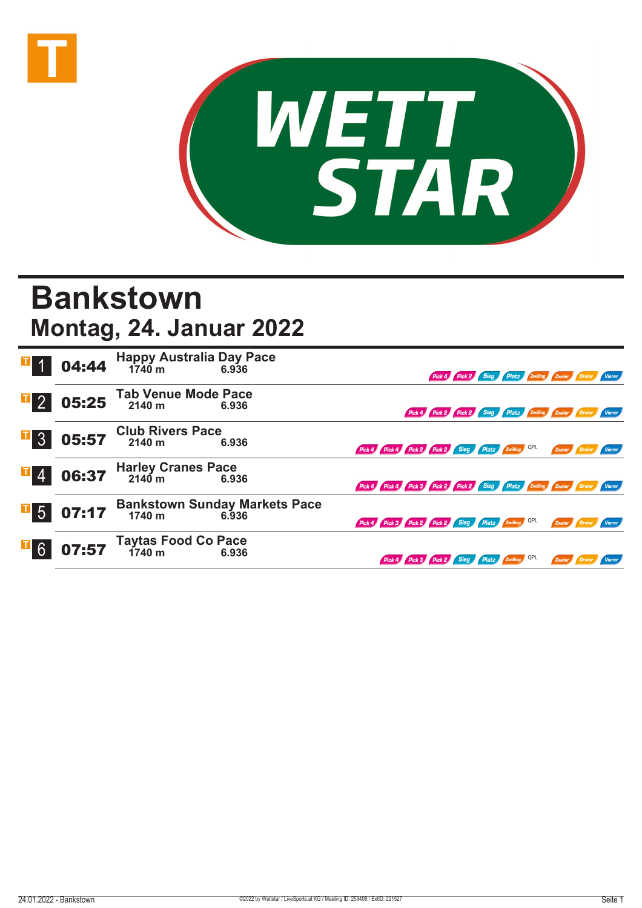



## **Bankstown Montag, 24. Januar 2022**

|                  |       | <b>04:44</b> Happy Australia Day Pace<br>$0.434$ $1740 \text{ m}$ $6.936$ |                                                  |                                                                             |                                                               | Pick 4 Pick 2 Sieg Platz Zwilling Zweier Dreier Vierer |  |                      |  |
|------------------|-------|---------------------------------------------------------------------------|--------------------------------------------------|-----------------------------------------------------------------------------|---------------------------------------------------------------|--------------------------------------------------------|--|----------------------|--|
| $\overline{1}$ 2 | 05:25 | <b>Tab Venue Mode Pace</b><br>2140 m                                      | 6.936                                            |                                                                             | Pick 4 Pick 2 Pick 2 Sieg Platz Zwilling Zweier Dreier Vierer |                                                        |  |                      |  |
| $\overline{1}$ 3 |       | $05:57$ Club Rivers Pace                                                  | 6.936                                            | Pick 4 Pick 4 Pick 2 Pick 2 Sieg Platz Zwilling QPL                         |                                                               |                                                        |  | Zweier Dreier Vierer |  |
| $\mathbf{I}$ 4   | 06:37 | Harley Cranes Pace<br>2140 m 6.93                                         | 6.936                                            | Pick 4 Pick 4 Pick 3 Pick 2 Pick 2 Sieg Platz Zwilling Zweier Dreier Vierer |                                                               |                                                        |  |                      |  |
| $\overline{1}$ 5 | 07:17 |                                                                           | Bankstown Sunday Markets Pace<br>1740 m<br>6.936 | Pick 4 Pick 3 Pick 2 Pick 2 Sieg Platz Zwilling QPL                         |                                                               |                                                        |  | Zweier Dreier Vierer |  |
| $\overline{1}6$  |       | <b>07:57</b> Taytas Food Co Pace<br>07:57 1740 m 6.936                    |                                                  | Pick 4 Pick 3 Pick 2 Sieg Platz Zwilling QPL                                |                                                               |                                                        |  | Zweier               |  |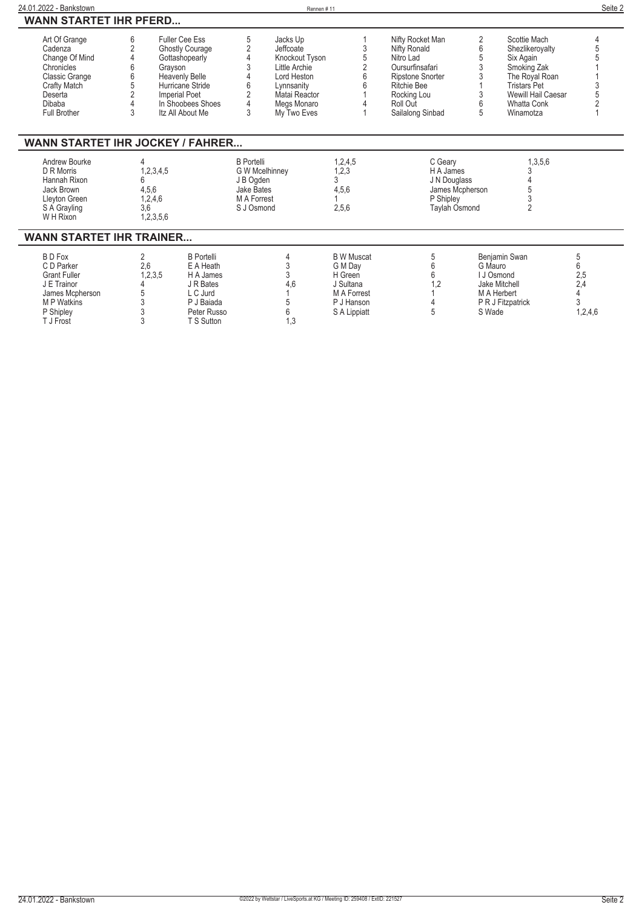| 24.01.2022 - Bankstown                                                                                              |              |                                                                                                                                                   |                                                                                                    | Rennen#11                                                                                              |                                         |                                                                                                                           |         |                                                                                                                            | Seite 2       |
|---------------------------------------------------------------------------------------------------------------------|--------------|---------------------------------------------------------------------------------------------------------------------------------------------------|----------------------------------------------------------------------------------------------------|--------------------------------------------------------------------------------------------------------|-----------------------------------------|---------------------------------------------------------------------------------------------------------------------------|---------|----------------------------------------------------------------------------------------------------------------------------|---------------|
| <b>WANN STARTET IHR PFERD</b>                                                                                       |              |                                                                                                                                                   |                                                                                                    |                                                                                                        |                                         |                                                                                                                           |         |                                                                                                                            |               |
| Art Of Grange<br>Cadenza<br>Change Of Mind<br>Chronicles<br><b>Classic Grange</b><br><b>Crafty Match</b><br>Deserta | 6            | <b>Fuller Cee Ess</b><br><b>Ghostly Courage</b><br>Gottashopearly<br>Grayson<br><b>Heavenly Belle</b><br>Hurricane Stride<br><b>Imperial Poet</b> | 5<br>6                                                                                             | Jacks Up<br>Jeffcoate<br>Knockout Tyson<br>Little Archie<br>Lord Heston<br>Lynnsanity<br>Matai Reactor |                                         | Nifty Rocket Man<br>Nifty Ronald<br>Nitro Lad<br>Oursurfinsafari<br>Ripstone Snorter<br><b>Ritchie Bee</b><br>Rocking Lou | 2<br>6  | Scottie Mach<br>Shezlikeroyalty<br>Six Again<br>Smoking Zak<br>The Royal Roan<br><b>Tristars Pet</b><br>Wewill Hail Caesar |               |
| Dibaba<br><b>Full Brother</b>                                                                                       | 3            | In Shoobees Shoes<br>Itz All About Me                                                                                                             | 3                                                                                                  | Megs Monaro<br>My Two Eves                                                                             |                                         | Roll Out<br>Sailalong Sinbad                                                                                              | 6<br>5  | <b>Whatta Conk</b><br>Winamotza                                                                                            |               |
| <b>WANN STARTET IHR JOCKEY / FAHRER</b>                                                                             |              |                                                                                                                                                   |                                                                                                    |                                                                                                        |                                         |                                                                                                                           |         |                                                                                                                            |               |
| Andrew Bourke<br>D R Morris<br>Hannah Rixon<br>Jack Brown<br>Lleyton Green<br>S A Grayling<br>W H Rixon             | 4,5,6<br>3.6 | 1,2,3,4,5<br>1,2,4,6<br>1,2,3,5,6                                                                                                                 | <b>B</b> Portelli<br><b>G W Mcelhinney</b><br>J B Ogden<br>Jake Bates<br>M A Forrest<br>S J Osmond |                                                                                                        | 1,2,4,5<br>1,2,3<br>3<br>4,5,6<br>2,5,6 | C Geary<br>H A James<br>J N Douglass<br>James Mcpherson<br>P Shipley<br><b>Taylah Osmond</b>                              |         | 1,3,5,6<br>2                                                                                                               |               |
| <b>WANN STARTET IHR TRAINER</b>                                                                                     |              |                                                                                                                                                   |                                                                                                    |                                                                                                        |                                         |                                                                                                                           |         |                                                                                                                            |               |
| <b>BDFox</b><br>C D Parker<br><b>Grant Fuller</b>                                                                   | 2<br>2,6     | <b>B</b> Portelli<br>E A Heath<br>1,2,3,5<br>H A James                                                                                            |                                                                                                    | 3                                                                                                      | <b>B</b> W Muscat<br>G M Day<br>H Green | 5<br>հ<br>6                                                                                                               | G Mauro | Benjamin Swan<br>U Osmond                                                                                                  | 5<br>6<br>2,5 |

**J E Trainor 4 J R Bates 4,6 J Sultana 1,2 Jake Mitchell 2,4 James Mcpherson 5 L C Jurd 1 M A Forrest 1 M A Herbert 4 M P Watkins 3 P J Baiada 5 P J Hanson 4 P R J Fitzpatrick 3 P Shipley 3 Peter Russo 6 S A Lippiatt 5 S Wade 1,2,4,6 T J Frost 3 T S Sutton 1,3**

l,

l,

l,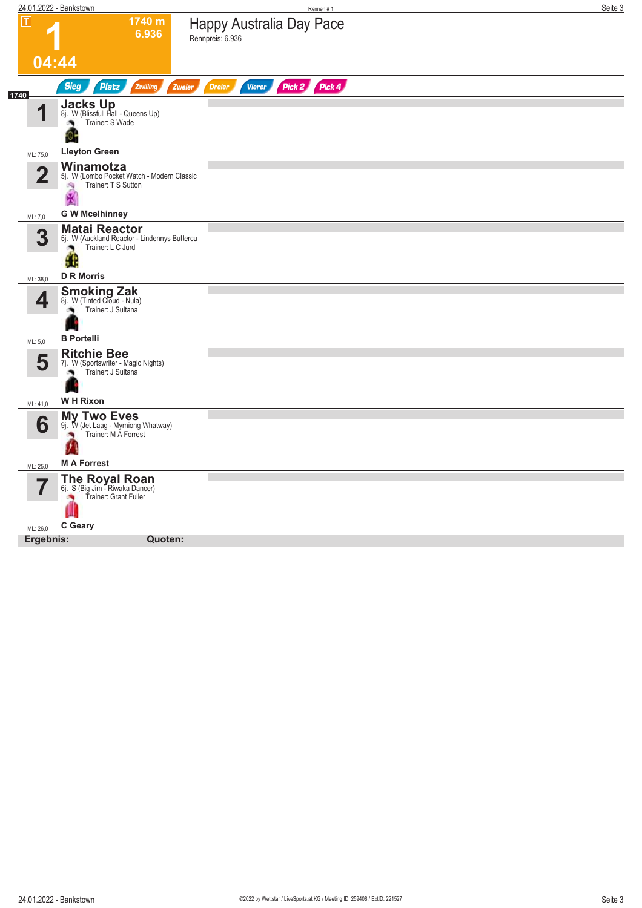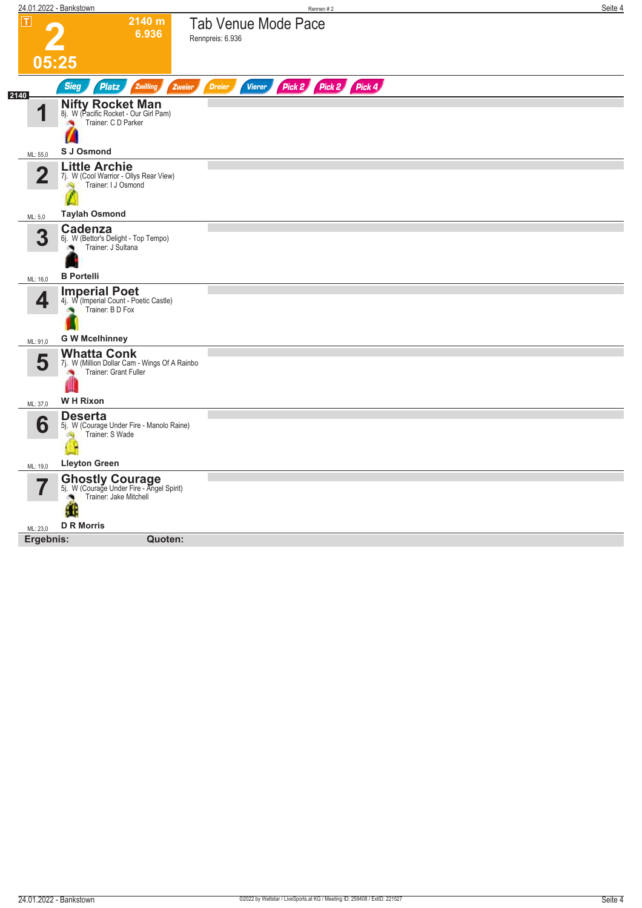| $ \mathsf{T} $<br>2140 m<br><b>Tab Venue Mode Pace</b><br>6.936<br>Rennpreis: 6.936<br>05:25<br>Pick 2 Pick 2 Pick 4<br><b>Sieg</b><br><b>Platz</b><br>Zwilling<br>Zweier<br><b>Dreier</b><br><b>Vierer</b><br>2140<br><b>Nifty Rocket Man</b><br>4<br>8j. W (Pacific Rocket - Our Girl Pam)<br>Trainer: C D Parker<br>S J Osmond<br>ML: 55,0<br><b>Little Archie</b><br>$\mathbf 2$<br>7j. W (Cool Warrior - Ollys Rear View)<br>Trainer: I J Osmond<br><b>Taylah Osmond</b><br>ML: 5,0<br>Cadenza<br>3<br>6j. W (Bettor's Delight - Top Tempo)<br>Trainer: J Sultana<br><b>B</b> Portelli<br>ML: 16,0<br><b>Imperial Poet</b><br>4<br>4j. W (Imperial Count - Poetic Castle)<br>Trainer: B D Fox<br><b>G W Mcelhinney</b><br>ML: 91,0<br><b>Whatta Conk</b><br>5<br>7j. W (Million Dollar Cam - Wings Of A Rainbo<br>Trainer: Grant Fuller<br><b>WH Rixon</b><br>ML: 37,0<br><b>Deserta</b><br>6<br>5j. W (Courage Under Fire - Manolo Raine)<br>Trainer: S Wade<br><b>Lleyton Green</b><br>ML: 19,0<br><b>Ghostly Courage</b><br>5j. W (Courage Under Fire - Angel Spirit)<br>Trainer: Jake Mitchell<br>t ti<br><b>D R Morris</b><br>ML: 23,0<br>Ergebnis:<br>Quoten: | 24.01.2022 - Bankstown | Rennen #2 | Seite 4 |
|--------------------------------------------------------------------------------------------------------------------------------------------------------------------------------------------------------------------------------------------------------------------------------------------------------------------------------------------------------------------------------------------------------------------------------------------------------------------------------------------------------------------------------------------------------------------------------------------------------------------------------------------------------------------------------------------------------------------------------------------------------------------------------------------------------------------------------------------------------------------------------------------------------------------------------------------------------------------------------------------------------------------------------------------------------------------------------------------------------------------------------------------------------------------------|------------------------|-----------|---------|
|                                                                                                                                                                                                                                                                                                                                                                                                                                                                                                                                                                                                                                                                                                                                                                                                                                                                                                                                                                                                                                                                                                                                                                          |                        |           |         |
|                                                                                                                                                                                                                                                                                                                                                                                                                                                                                                                                                                                                                                                                                                                                                                                                                                                                                                                                                                                                                                                                                                                                                                          |                        |           |         |
|                                                                                                                                                                                                                                                                                                                                                                                                                                                                                                                                                                                                                                                                                                                                                                                                                                                                                                                                                                                                                                                                                                                                                                          |                        |           |         |
|                                                                                                                                                                                                                                                                                                                                                                                                                                                                                                                                                                                                                                                                                                                                                                                                                                                                                                                                                                                                                                                                                                                                                                          |                        |           |         |
|                                                                                                                                                                                                                                                                                                                                                                                                                                                                                                                                                                                                                                                                                                                                                                                                                                                                                                                                                                                                                                                                                                                                                                          |                        |           |         |
|                                                                                                                                                                                                                                                                                                                                                                                                                                                                                                                                                                                                                                                                                                                                                                                                                                                                                                                                                                                                                                                                                                                                                                          |                        |           |         |
|                                                                                                                                                                                                                                                                                                                                                                                                                                                                                                                                                                                                                                                                                                                                                                                                                                                                                                                                                                                                                                                                                                                                                                          |                        |           |         |
|                                                                                                                                                                                                                                                                                                                                                                                                                                                                                                                                                                                                                                                                                                                                                                                                                                                                                                                                                                                                                                                                                                                                                                          |                        |           |         |
|                                                                                                                                                                                                                                                                                                                                                                                                                                                                                                                                                                                                                                                                                                                                                                                                                                                                                                                                                                                                                                                                                                                                                                          |                        |           |         |
|                                                                                                                                                                                                                                                                                                                                                                                                                                                                                                                                                                                                                                                                                                                                                                                                                                                                                                                                                                                                                                                                                                                                                                          |                        |           |         |
|                                                                                                                                                                                                                                                                                                                                                                                                                                                                                                                                                                                                                                                                                                                                                                                                                                                                                                                                                                                                                                                                                                                                                                          |                        |           |         |
|                                                                                                                                                                                                                                                                                                                                                                                                                                                                                                                                                                                                                                                                                                                                                                                                                                                                                                                                                                                                                                                                                                                                                                          |                        |           |         |
|                                                                                                                                                                                                                                                                                                                                                                                                                                                                                                                                                                                                                                                                                                                                                                                                                                                                                                                                                                                                                                                                                                                                                                          |                        |           |         |
|                                                                                                                                                                                                                                                                                                                                                                                                                                                                                                                                                                                                                                                                                                                                                                                                                                                                                                                                                                                                                                                                                                                                                                          |                        |           |         |
|                                                                                                                                                                                                                                                                                                                                                                                                                                                                                                                                                                                                                                                                                                                                                                                                                                                                                                                                                                                                                                                                                                                                                                          |                        |           |         |
|                                                                                                                                                                                                                                                                                                                                                                                                                                                                                                                                                                                                                                                                                                                                                                                                                                                                                                                                                                                                                                                                                                                                                                          |                        |           |         |
|                                                                                                                                                                                                                                                                                                                                                                                                                                                                                                                                                                                                                                                                                                                                                                                                                                                                                                                                                                                                                                                                                                                                                                          |                        |           |         |
|                                                                                                                                                                                                                                                                                                                                                                                                                                                                                                                                                                                                                                                                                                                                                                                                                                                                                                                                                                                                                                                                                                                                                                          |                        |           |         |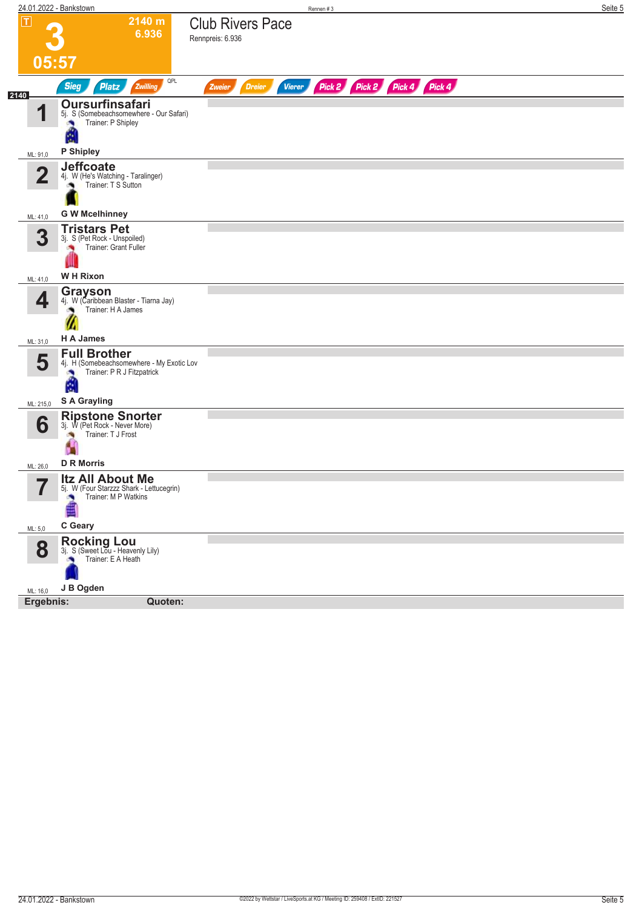| 24.01.2022 - Bankstown                                                                                         | Rennen #3                                                               | Seite 5 |
|----------------------------------------------------------------------------------------------------------------|-------------------------------------------------------------------------|---------|
| $\overline{\mathbf{r}}$<br>2140 m<br>6.936                                                                     | <b>Club Rivers Pace</b><br>Rennpreis: 6.936                             |         |
|                                                                                                                |                                                                         |         |
| 05:57                                                                                                          |                                                                         |         |
| QPL<br><b>Sieg</b><br><b>Platz</b><br>Zwilling                                                                 | Pick 2 Pick 2 Pick 4 Pick 4<br><b>Vierer</b><br><b>Dreier</b><br>Zweier |         |
| 2140<br>Oursurfinsafari<br>1<br>5j. S (Somebeachsomewhere - Our Safari)<br>Trainer: P Shipley                  |                                                                         |         |
| Ø<br>P Shipley                                                                                                 |                                                                         |         |
| ML: 91,0<br><b>Jeffcoate</b>                                                                                   |                                                                         |         |
| $\overline{2}$<br>4j. W (He's Watching - Taralinger)<br>Trainer: T S Sutton                                    |                                                                         |         |
| <b>G W Mcelhinney</b><br>ML: 41,0                                                                              |                                                                         |         |
| <b>Tristars Pet</b><br>3<br>3j. S (Pet Rock - Unspoiled)<br>Trainer: Grant Fuller<br>×                         |                                                                         |         |
| <b>WH Rixon</b><br>ML: 41,0                                                                                    |                                                                         |         |
| Grayson<br>4<br>4j. W (Caribbean Blaster - Tiarna Jay)<br>Trainer: H A James<br>H A James                      |                                                                         |         |
| ML: 31,0<br><b>Full Brother</b>                                                                                |                                                                         |         |
| 5<br>4j. H (Somebeachsomewhere - My Exotic Lov<br>Trainer: P R J Fitzpatrick<br>A                              |                                                                         |         |
| S A Grayling<br>ML: 215,0                                                                                      |                                                                         |         |
| Ripstone Snorter<br>3j. W (Pet Rock - Never More)<br>6<br>Trainer: T J Frost<br><b>SO</b><br>п                 |                                                                         |         |
| <b>D R Morris</b><br>ML: 26,0<br><b>Itz All About Me</b>                                                       |                                                                         |         |
| $\overline{\phantom{a}}$<br>5]. W (Four Starzzz Shark - Lettucegrin)<br>$\blacksquare$<br>Trainer: M P Watkins |                                                                         |         |
| C Geary<br>ML: 5,0                                                                                             |                                                                         |         |
| Rocking Lou<br>3j. S (Sweet Lou - Heavenly Lily)<br>8<br>Trainer: E A Heath                                    |                                                                         |         |
| J B Ogden<br>ML: 16,0                                                                                          |                                                                         |         |
| Ergebnis:<br>Quoten:                                                                                           |                                                                         |         |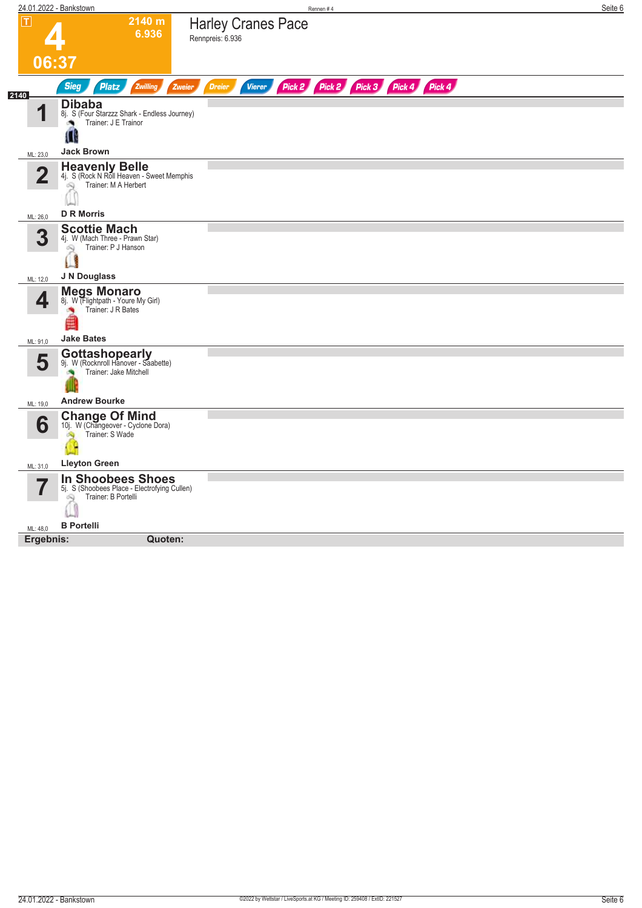| $\boxed{\text{T}}$<br>2140 m<br><b>Harley Cranes Pace</b><br>6.936<br>Rennpreis: 6.936<br>06:37<br>Pick 2 Pick 2 Pick 3 Pick 4 Pick 4<br><b>Vierer</b><br><b>Sieg</b><br><b>Platz</b><br>Zwilling<br>Zweier<br><b>Dreier</b><br>2140<br><b>Dibaba</b><br>и<br>8j. S (Four Starzzz Shark - Endless Journey)<br>Trainer: J E Trainor<br>Ш<br><b>Jack Brown</b><br>ML: 23,0<br><b>Heavenly Belle</b><br>$\overline{2}$<br>4j. S (Rock N Roll Heaven - Sweet Memphis<br>Trainer: M A Herbert<br>Q<br><b>D R Morris</b><br>ML: 26,0<br><b>Scottie Mach</b><br>3<br>4j. W (Mach Three - Prawn Star)<br>Trainer: P J Hanson<br>Q<br>J N Douglass<br>ML: 12,0<br><b>Megs Monaro</b><br>4<br>8j. W (Flightpath - Youre My Girl)<br>Trainer: J R Bates<br><b>A</b><br><b>Jake Bates</b><br>ML: 91,0<br><b>Gottashopearly</b><br>5<br>9j. W (Rocknroll Hanover - Saabette)<br>Trainer: Jake Mitchell<br><b>Andrew Bourke</b><br>ML: 19,0<br><b>Change Of Mind</b><br>6<br>10j. W (Changeover - Cyclone Dora)<br>Trainer: S Wade<br>$\mathbb{Z}$<br><b>Lleyton Green</b><br>ML: 31,0<br><b>In Shoobees Shoes</b><br>5j. S (Shoobees Place - Electrofying Cullen)<br>Trainer: B Portelli<br>Q<br><b>B</b> Portelli<br>ML: 48,0<br>Ergebnis:<br>Quoten: | 24.01.2022 - Bankstown | Rennen #4 | Seite 6 |
|-------------------------------------------------------------------------------------------------------------------------------------------------------------------------------------------------------------------------------------------------------------------------------------------------------------------------------------------------------------------------------------------------------------------------------------------------------------------------------------------------------------------------------------------------------------------------------------------------------------------------------------------------------------------------------------------------------------------------------------------------------------------------------------------------------------------------------------------------------------------------------------------------------------------------------------------------------------------------------------------------------------------------------------------------------------------------------------------------------------------------------------------------------------------------------------------------------------------------------------------|------------------------|-----------|---------|
|                                                                                                                                                                                                                                                                                                                                                                                                                                                                                                                                                                                                                                                                                                                                                                                                                                                                                                                                                                                                                                                                                                                                                                                                                                           |                        |           |         |
|                                                                                                                                                                                                                                                                                                                                                                                                                                                                                                                                                                                                                                                                                                                                                                                                                                                                                                                                                                                                                                                                                                                                                                                                                                           |                        |           |         |
|                                                                                                                                                                                                                                                                                                                                                                                                                                                                                                                                                                                                                                                                                                                                                                                                                                                                                                                                                                                                                                                                                                                                                                                                                                           |                        |           |         |
|                                                                                                                                                                                                                                                                                                                                                                                                                                                                                                                                                                                                                                                                                                                                                                                                                                                                                                                                                                                                                                                                                                                                                                                                                                           |                        |           |         |
|                                                                                                                                                                                                                                                                                                                                                                                                                                                                                                                                                                                                                                                                                                                                                                                                                                                                                                                                                                                                                                                                                                                                                                                                                                           |                        |           |         |
|                                                                                                                                                                                                                                                                                                                                                                                                                                                                                                                                                                                                                                                                                                                                                                                                                                                                                                                                                                                                                                                                                                                                                                                                                                           |                        |           |         |
|                                                                                                                                                                                                                                                                                                                                                                                                                                                                                                                                                                                                                                                                                                                                                                                                                                                                                                                                                                                                                                                                                                                                                                                                                                           |                        |           |         |
|                                                                                                                                                                                                                                                                                                                                                                                                                                                                                                                                                                                                                                                                                                                                                                                                                                                                                                                                                                                                                                                                                                                                                                                                                                           |                        |           |         |
|                                                                                                                                                                                                                                                                                                                                                                                                                                                                                                                                                                                                                                                                                                                                                                                                                                                                                                                                                                                                                                                                                                                                                                                                                                           |                        |           |         |
|                                                                                                                                                                                                                                                                                                                                                                                                                                                                                                                                                                                                                                                                                                                                                                                                                                                                                                                                                                                                                                                                                                                                                                                                                                           |                        |           |         |
|                                                                                                                                                                                                                                                                                                                                                                                                                                                                                                                                                                                                                                                                                                                                                                                                                                                                                                                                                                                                                                                                                                                                                                                                                                           |                        |           |         |
|                                                                                                                                                                                                                                                                                                                                                                                                                                                                                                                                                                                                                                                                                                                                                                                                                                                                                                                                                                                                                                                                                                                                                                                                                                           |                        |           |         |
|                                                                                                                                                                                                                                                                                                                                                                                                                                                                                                                                                                                                                                                                                                                                                                                                                                                                                                                                                                                                                                                                                                                                                                                                                                           |                        |           |         |
|                                                                                                                                                                                                                                                                                                                                                                                                                                                                                                                                                                                                                                                                                                                                                                                                                                                                                                                                                                                                                                                                                                                                                                                                                                           |                        |           |         |
|                                                                                                                                                                                                                                                                                                                                                                                                                                                                                                                                                                                                                                                                                                                                                                                                                                                                                                                                                                                                                                                                                                                                                                                                                                           |                        |           |         |
|                                                                                                                                                                                                                                                                                                                                                                                                                                                                                                                                                                                                                                                                                                                                                                                                                                                                                                                                                                                                                                                                                                                                                                                                                                           |                        |           |         |
|                                                                                                                                                                                                                                                                                                                                                                                                                                                                                                                                                                                                                                                                                                                                                                                                                                                                                                                                                                                                                                                                                                                                                                                                                                           |                        |           |         |
|                                                                                                                                                                                                                                                                                                                                                                                                                                                                                                                                                                                                                                                                                                                                                                                                                                                                                                                                                                                                                                                                                                                                                                                                                                           |                        |           |         |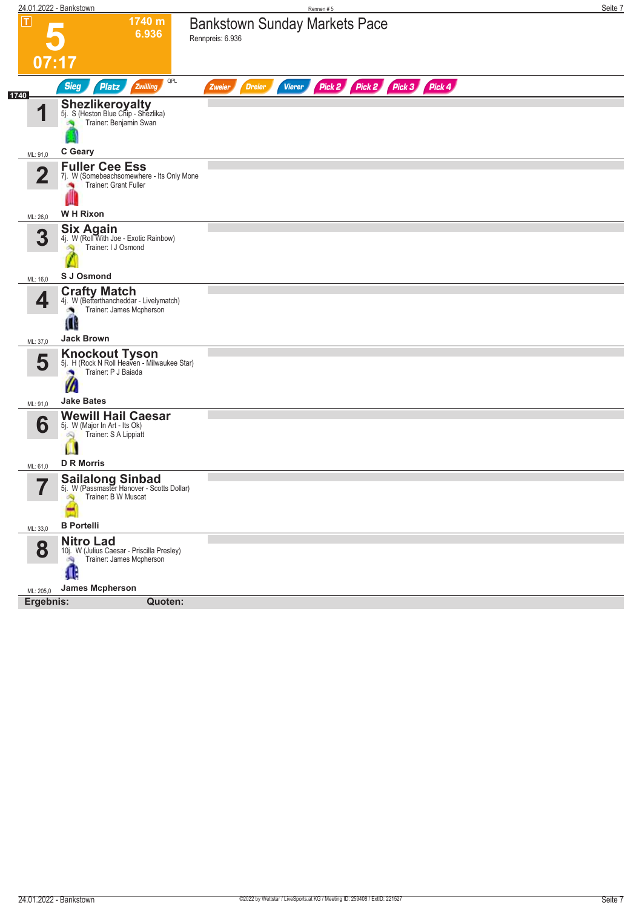| 24.01.2022 - Bankstown                                                                                                                | Rennen#5                                                                       | Seite 7 |
|---------------------------------------------------------------------------------------------------------------------------------------|--------------------------------------------------------------------------------|---------|
| $\vert \bm{\mathsf{T}} \vert$<br>1740 m<br>6.936<br>07:17                                                                             | <b>Bankstown Sunday Markets Pace</b><br>Rennpreis: 6.936                       |         |
| <b>Sieg</b><br><b>Platz</b><br>Zwilling                                                                                               | QPL<br>Pick 2 Pick 2 Pick 3 Pick 4<br><b>Dreier</b><br><b>Vierer</b><br>Zweier |         |
| 1740<br><b>Shezlikeroyalty</b><br>5j. S (Heston Blue Chip - Shezlika)<br>и<br>Trainer: Benjamin Swan                                  |                                                                                |         |
| C Geary<br>ML: 91,0                                                                                                                   |                                                                                |         |
| <b>Fuller Cee Ess</b><br>$\mathbf 2$<br>7j. W (Somebeachsomewhere - Its Only Mone<br>Trainer: Grant Fuller                            |                                                                                |         |
| <b>WH Rixon</b><br>ML: 26,0                                                                                                           |                                                                                |         |
| <b>Six Again</b><br>3<br>4j. W (Roll With Joe - Exotic Rainbow)<br>Trainer: I J Osmond<br>GQ.                                         |                                                                                |         |
| S J Osmond<br>ML: 16,0                                                                                                                |                                                                                |         |
| <b>Crafty Match</b><br>4<br>4j. W (Betterthancheddar - Livelymatch)<br>Trainer: James Mcpherson<br>Ш<br><b>Jack Brown</b><br>ML: 37,0 |                                                                                |         |
|                                                                                                                                       |                                                                                |         |
| <b>Knockout Tyson</b><br>5j. H (Rock N Roll Heaven - Milwaukee Star)<br>5<br>Trainer: P J Baiada<br>W<br><b>Jake Bates</b>            |                                                                                |         |
| ML: 91,0<br><b>Wewill Hail Caesar</b>                                                                                                 |                                                                                |         |
| 6<br>5j. W (Major In Art - Its Ok)<br>Trainer: S A Lippiatt<br>Ŵ<br>Ш<br><b>D R Morris</b><br>ML: 61,0                                |                                                                                |         |
| <b>Sailalong Sinbad</b><br>$\overline{\phantom{a}}$<br>5j. W (Passmaster Hanover - Scotts Dollar)<br>ı<br>Trainer: B W Muscat         |                                                                                |         |
| <b>B</b> Portelli<br>ML: 33,0                                                                                                         |                                                                                |         |
| <b>Nitro Lad</b><br>8<br>10j. W (Julius Caesar - Priscilla Presley)<br>Trainer: James Mcpherson<br>dia.<br>Ф                          |                                                                                |         |
| <b>James Mcpherson</b><br>ML: 205,0                                                                                                   |                                                                                |         |
| Ergebnis:<br>Quoten:                                                                                                                  |                                                                                |         |